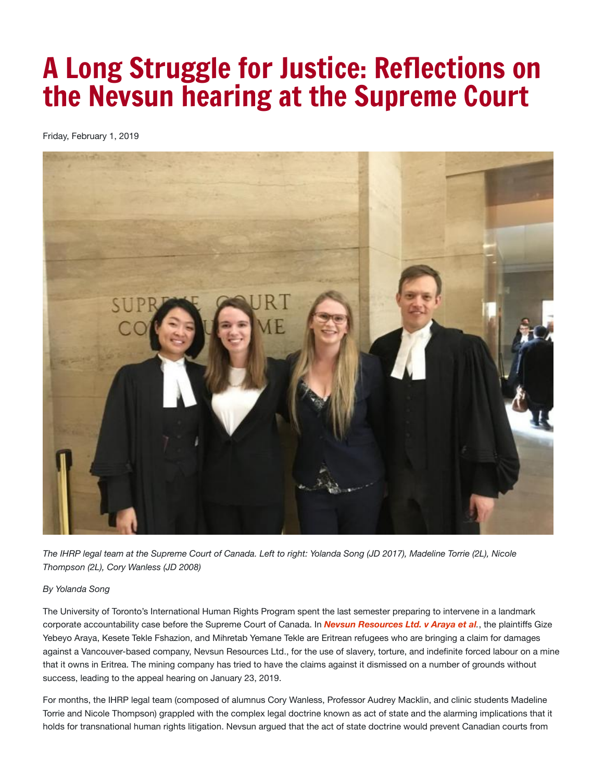## A Long Struggle for Justice: Reflections on the Nevsun hearing at the Supreme Court

Friday, February 1, 2019



The IHRP legal team at the Supreme Court of Canada. Left to right: Yolanda Song (JD 2017), Madeline Torrie (2L), Nicole *Thompson (2L), Cory Wanless (JD 2008)*

## *By Yolanda Song*

The University of Toronto's International Human Rights Program spent the last semester preparing to intervene in a landmark corporate accountability case before the Supreme Court of Canada. In *Nevsun [Resources](https://www.scc-csc.ca/case-dossier/info/sum-som-eng.aspx?cas=37919) Ltd. v Araya et al.*, the plaintiffs Gize Yebeyo Araya, Kesete Tekle Fshazion, and Mihretab Yemane Tekle are Eritrean refugees who are bringing a claim for damages against a Vancouver-based company, Nevsun Resources Ltd., for the use of slavery, torture, and indefinite forced labour on a mine that it owns in Eritrea. The mining company has tried to have the claims against it dismissed on a number of grounds without success, leading to the appeal hearing on January 23, 2019.

For months, the IHRP legal team (composed of alumnus Cory Wanless, Professor Audrey Macklin, and clinic students Madeline Torrie and Nicole Thompson) grappled with the complex legal doctrine known as act of state and the alarming implications that it holds for transnational human rights litigation. Nevsun argued that the act of state doctrine would prevent Canadian courts from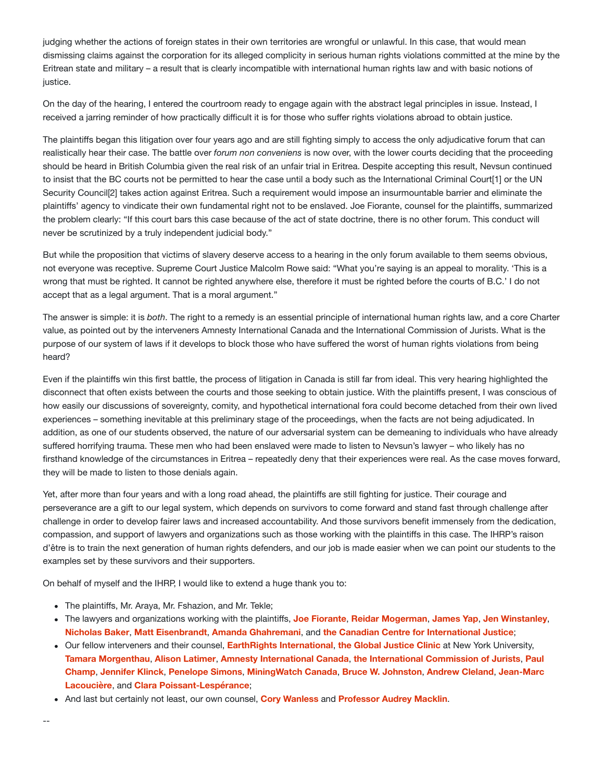judging whether the actions of foreign states in their own territories are wrongful or unlawful. In this case, that would mean dismissing claims against the corporation for its alleged complicity in serious human rights violations committed at the mine by the Eritrean state and military – a result that is clearly incompatible with international human rights law and with basic notions of justice.

On the day of the hearing, I entered the courtroom ready to engage again with the abstract legal principles in issue. Instead, I received a jarring reminder of how practically difficult it is for those who suffer rights violations abroad to obtain justice.

The plaintiffs began this litigation over four years ago and are still fighting simply to access the only adjudicative forum that can realistically hear their case. The battle over *forum non conveniens* is now over, with the lower courts deciding that the proceeding should be heard in British Columbia given the real risk of an unfair trial in Eritrea. Despite accepting this result, Nevsun continued to insist that the BC courts not be permitted to hear the case until a body such as the International Criminal Court[1] or the UN Security Council<sup>[2]</sup> takes action against Eritrea. Such a requirement would impose an insurmountable barrier and eliminate the plaintiffs' agency to vindicate their own fundamental right not to be enslaved. Joe Fiorante, counsel for the plaintiffs, summarized the problem clearly: "If this court bars this case because of the act of state doctrine, there is no other forum. This conduct will never be scrutinized by a truly independent judicial body."

But while the proposition that victims of slavery deserve access to a hearing in the only forum available to them seems obvious, not everyone was receptive. Supreme Court Justice Malcolm Rowe said: "What you're saying is an appeal to morality. 'This is a wrong that must be righted. It cannot be righted anywhere else, therefore it must be righted before the courts of B.C.' I do not accept that as a legal argument. That is a moral argument."

The answer is simple: it is *both*. The right to a remedy is an essential principle of international human rights law, and a core Charter value, as pointed out by the interveners Amnesty International Canada and the International Commission of Jurists. What is the purpose of our system of laws if it develops to block those who have suffered the worst of human rights violations from being heard?

Even if the plaintiffs win this first battle, the process of litigation in Canada is still far from ideal. This very hearing highlighted the disconnect that often exists between the courts and those seeking to obtain justice. With the plaintiffs present, I was conscious of how easily our discussions of sovereignty, comity, and hypothetical international fora could become detached from their own lived experiences – something inevitable at this preliminary stage of the proceedings, when the facts are not being adjudicated. In addition, as one of our students observed, the nature of our adversarial system can be demeaning to individuals who have already suffered horrifying trauma. These men who had been enslaved were made to listen to Nevsun's lawyer – who likely has no firsthand knowledge of the circumstances in Eritrea – repeatedly deny that their experiences were real. As the case moves forward, they will be made to listen to those denials again.

Yet, after more than four years and with a long road ahead, the plaintiffs are still fighting for justice. Their courage and perseverance are a gift to our legal system, which depends on survivors to come forward and stand fast through challenge after challenge in order to develop fairer laws and increased accountability. And those survivors benefit immensely from the dedication, compassion, and support of lawyers and organizations such as those working with the plaintiffs in this case. The IHRP's raison d'être is to train the next generation of human rights defenders, and our job is made easier when we can point our students to the examples set by these survivors and their supporters.

On behalf of myself and the IHRP, I would like to extend a huge thank you to:

- The plaintiffs, Mr. Araya, Mr. Fshazion, and Mr. Tekle;
- The lawyers and organizations working with the plaintiffs, **Joe [Fiorante](https://www.cfmlawyers.ca/people/lawyers/joe-fiorante/)**, **Reidar [Mogerman](https://www.cfmlawyers.ca/people/lawyers/reidar-mogerman/)**, **[James](https://www.linkedin.com/in/jamesyap1/) Yap**, **Jen [Winstanley](https://www.cfmlawyers.ca/people/lawyers/jen-winstanley/)**, **[Nicholas](https://www.siskinds.com/lawyer/nicholas-baker/) Baker**, **Matt [Eisenbrandt](http://www.assassinationofasaint.com/about-the-author/)**, **Amanda [Ghahremani](https://www.linkedin.com/in/aghahremani/)**, and **the Canadian Centre for [International](https://www.ccij.ca/) Justice**;
- Our fellow interveners and their counsel, **EarthRights [International](https://earthrights.org/)**, **the Global [Justice](http://www.law.nyu.edu/academics/clinics/globaljustice-jd) Clinic** at New York University, **Tamara [Morgenthau](https://www.law.berkeley.edu/our-faculty/faculty-profiles/tamara-morgenthau/)**, **Alison [Latimer](https://arvayfinlay.ca/our-lawyers/alison-latimer/)**, **Amnesty [International](https://www.amnesty.ca/) Canada**, **the [International](https://www.icj.org/) Commission of Jurists**, **Paul Champ**, **[Jennifer](https://juristespower.ca/teams/jennifer-klinck/) Klinck**, **[Penelope](https://commonlaw.uottawa.ca/en/people/simons-penelope) Simons**, **[MiningWatch](https://champlaw.ca/lawyers/lawyer/paul-champ) Canada**, **Bruce W. [Johnston](http://tjl.quebec/en/bruce-w-johnston/)**, **[Andrew](https://www.linkedin.com/in/andrewcleland/) Cleland**, **Jean-Marc Lacoucière**, and **Clara [Poissant-Lespérance](http://tjl.quebec/en/jean-marc-lacourciere/)**;
- And last but certainly not least, our own counsel, **Cory [Wanless](https://waddellphillips.ca/lawyer/w-cory-wanless/)** and **[Professor](https://www.law.utoronto.ca/faculty-staff/full-time-faculty/audrey-macklin) Audrey Macklin**.